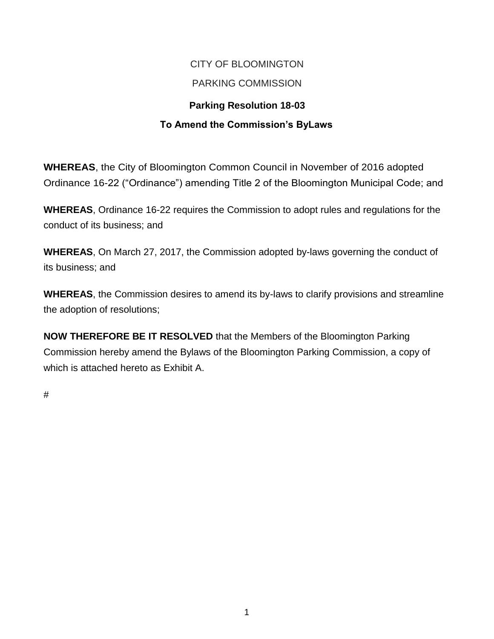# CITY OF BLOOMINGTON

## PARKING COMMISSION

## **Parking Resolution 18-03**

## **To Amend the Commission's ByLaws**

**WHEREAS**, the City of Bloomington Common Council in November of 2016 adopted Ordinance 16-22 ("Ordinance") amending Title 2 of the Bloomington Municipal Code; and

**WHEREAS**, Ordinance 16-22 requires the Commission to adopt rules and regulations for the conduct of its business; and

**WHEREAS**, On March 27, 2017, the Commission adopted by-laws governing the conduct of its business; and

**WHEREAS**, the Commission desires to amend its by-laws to clarify provisions and streamline the adoption of resolutions;

**NOW THEREFORE BE IT RESOLVED** that the Members of the Bloomington Parking Commission hereby amend the Bylaws of the Bloomington Parking Commission, a copy of which is attached hereto as Exhibit A.

#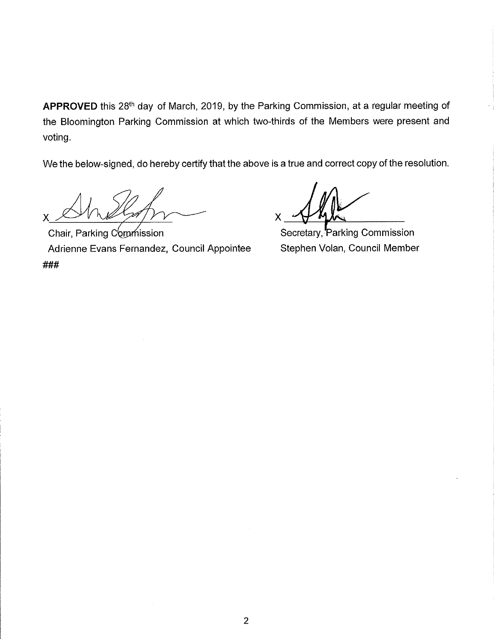**APPROVED** this 28th day of March, 2019, by the Parking Commission, at a regular meeting of the Bloomington Parking Commission at which two-thirds of the Members were present and voting.

We the below-signed, do hereby certify that the above is a true and correct copy of the resolution.

Chair, Parking Commission Adrienne Evans Fernandez, Council Appointee ###

 $x = \frac{\sqrt{h_\text{ph}}}{h_\text{ph}}$ 

Secretary, Parking Commission Stephen Volan, Council Member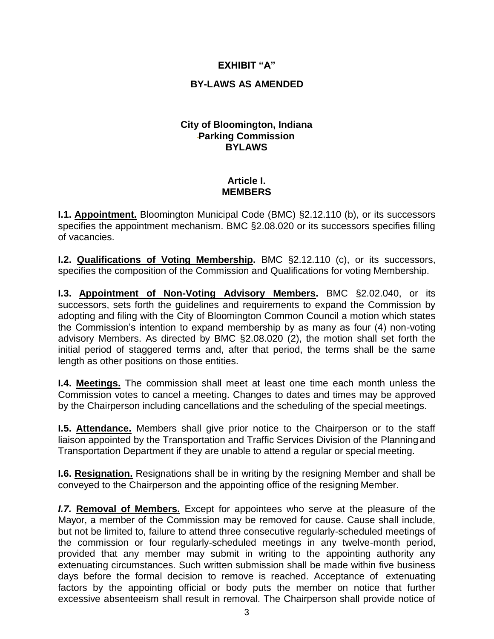#### **EXHIBIT "A"**

#### **BY-LAWS AS AMENDED**

#### **City of Bloomington, Indiana Parking Commission BYLAWS**

#### **Article I. MEMBERS**

**I.1. Appointment.** Bloomington Municipal Code (BMC) §2.12.110 (b), or its successors specifies the appointment mechanism. BMC §2.08.020 or its successors specifies filling of vacancies.

**I.2. Qualifications of Voting Membership.** BMC §2.12.110 (c), or its successors, specifies the composition of the Commission and Qualifications for voting Membership.

**I.3. Appointment of Non-Voting Advisory Members.** BMC §2.02.040, or its successors, sets forth the guidelines and requirements to expand the Commission by adopting and filing with the City of Bloomington Common Council a motion which states the Commission's intention to expand membership by as many as four (4) non-voting advisory Members. As directed by BMC §2.08.020 (2), the motion shall set forth the initial period of staggered terms and, after that period, the terms shall be the same length as other positions on those entities.

**I.4. Meetings.** The commission shall meet at least one time each month unless the Commission votes to cancel a meeting. Changes to dates and times may be approved by the Chairperson including cancellations and the scheduling of the special meetings.

**I.5. Attendance.** Members shall give prior notice to the Chairperson or to the staff liaison appointed by the Transportation and Traffic Services Division of the Planningand Transportation Department if they are unable to attend a regular or special meeting.

**I.6. Resignation.** Resignations shall be in writing by the resigning Member and shall be conveyed to the Chairperson and the appointing office of the resigning Member.

*I.7.* **Removal of Members.** Except for appointees who serve at the pleasure of the Mayor, a member of the Commission may be removed for cause. Cause shall include, but not be limited to, failure to attend three consecutive regularly-scheduled meetings of the commission or four regularly-scheduled meetings in any twelve-month period, provided that any member may submit in writing to the appointing authority any extenuating circumstances. Such written submission shall be made within five business days before the formal decision to remove is reached. Acceptance of extenuating factors by the appointing official or body puts the member on notice that further excessive absenteeism shall result in removal. The Chairperson shall provide notice of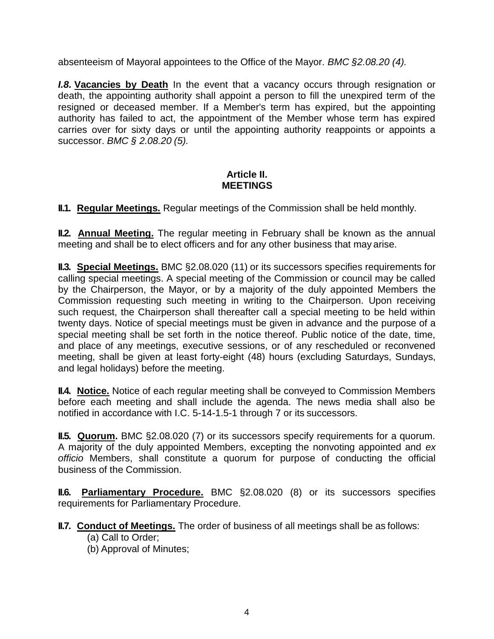absenteeism of Mayoral appointees to the Office of the Mayor. *BMC §2.08.20 (4).*

*I.8.* **Vacancies by Death** In the event that a vacancy occurs through resignation or death, the appointing authority shall appoint a person to fill the unexpired term of the resigned or deceased member. If a Member's term has expired, but the appointing authority has failed to act, the appointment of the Member whose term has expired carries over for sixty days or until the appointing authority reappoints or appoints a successor. *BMC § 2.08.20 (5).*

### **Article II. MEETINGS**

**II.1. Regular Meetings.** Regular meetings of the Commission shall be held monthly.

**II.2. Annual Meeting.** The regular meeting in February shall be known as the annual meeting and shall be to elect officers and for any other business that may arise.

**II.3. Special Meetings.** BMC §2.08.020 (11) or its successors specifies requirements for calling special meetings. A special meeting of the Commission or council may be called by the Chairperson, the Mayor, or by a majority of the duly appointed Members the Commission requesting such meeting in writing to the Chairperson. Upon receiving such request, the Chairperson shall thereafter call a special meeting to be held within twenty days. Notice of special meetings must be given in advance and the purpose of a special meeting shall be set forth in the notice thereof. Public notice of the date, time, and place of any meetings, executive sessions, or of any rescheduled or reconvened meeting, shall be given at least forty-eight (48) hours (excluding Saturdays, Sundays, and legal holidays) before the meeting.

**II.4. Notice.** Notice of each regular meeting shall be conveyed to Commission Members before each meeting and shall include the agenda. The news media shall also be notified in accordance with I.C. 5-14-1.5-1 through 7 or its successors.

**II.5. Quorum.** BMC §2.08.020 (7) or its successors specify requirements for a quorum. A majority of the duly appointed Members, excepting the nonvoting appointed and *ex officio* Members, shall constitute a quorum for purpose of conducting the official business of the Commission.

**II.6. Parliamentary Procedure.** BMC §2.08.020 (8) or its successors specifies requirements for Parliamentary Procedure.

**II.7. Conduct of Meetings.** The order of business of all meetings shall be as follows:

- (a) Call to Order;
- (b) Approval of Minutes;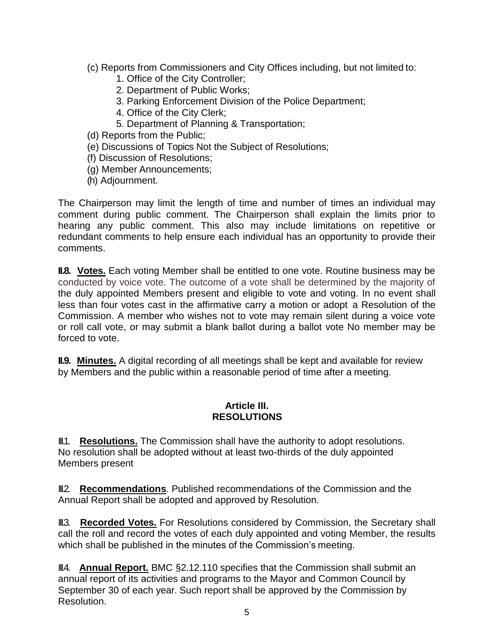- (c) Reports from Commissioners and City Offices including, but not limited to:
	- 1. Office of the City Controller;
	- 2. Department of Public Works;
	- 3. Parking Enforcement Division of the Police Department;
	- 4. Office of the City Clerk;
	- 5. Department of Planning & Transportation;
- (d) Reports from the Public;
- (e) Discussions of Topics Not the Subject of Resolutions;
- (f) Discussion of Resolutions;
- (g) Member Announcements;
- (h) Adjournment.

The Chairperson may limit the length of time and number of times an individual may comment during public comment. The Chairperson shall explain the limits prior to hearing any public comment. This also may include limitations on repetitive or redundant comments to help ensure each individual has an opportunity to provide their comments.

**II.8. Votes.** Each voting Member shall be entitled to one vote. Routine business may be conducted by voice vote. The outcome of a vote shall be determined by the majority of the duly appointed Members present and eligible to vote and voting. In no event shall less than four votes cast in the affirmative carry a motion or adopt a Resolution of the Commission. A member who wishes not to vote may remain silent during a voice vote or roll call vote, or may submit a blank ballot during a ballot vote No member may be forced to vote.

**II.9. Minutes.** A digital recording of all meetings shall be kept and available for review by Members and the public within a reasonable period of time after a meeting.

#### **Article III. RESOLUTIONS**

**II.1. Resolutions.** The Commission shall have the authority to adopt resolutions. No resolution shall be adopted without at least two-thirds of the duly appointed Members present

**III.2. Recommendations.** Published recommendations of the Commission and the Annual Report shall be adopted and approved by Resolution.

**III.3. Recorded Votes.** For Resolutions considered by Commission, the Secretary shall call the roll and record the votes of each duly appointed and voting Member, the results which shall be published in the minutes of the Commission's meeting.

III.4. **Annual Report.** BMC §2.12.110 specifies that the Commission shall submit an annual report of its activities and programs to the Mayor and Common Council by September 30 of each year. Such report shall be approved by the Commission by Resolution.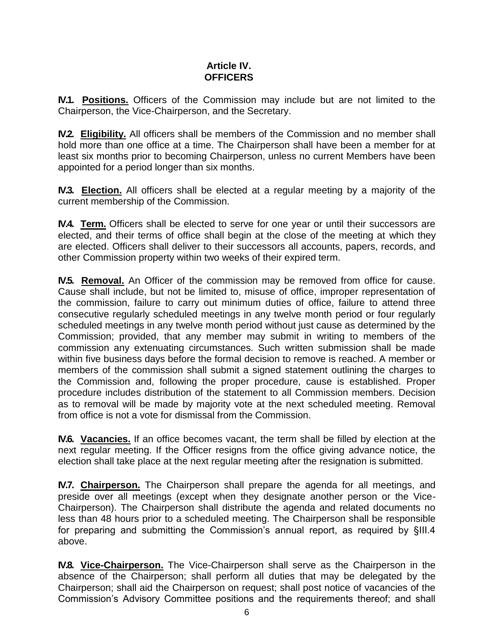#### **Article IV. OFFICERS**

**IV.1. Positions.** Officers of the Commission may include but are not limited to the Chairperson, the Vice-Chairperson, and the Secretary.

**IV.2. Eligibility.** All officers shall be members of the Commission and no member shall hold more than one office at a time. The Chairperson shall have been a member for at least six months prior to becoming Chairperson, unless no current Members have been appointed for a period longer than six months.

**IV.3. Election.** All officers shall be elected at a regular meeting by a majority of the current membership of the Commission.

**IV.4. Term.** Officers shall be elected to serve for one year or until their successors are elected, and their terms of office shall begin at the close of the meeting at which they are elected. Officers shall deliver to their successors all accounts, papers, records, and other Commission property within two weeks of their expired term.

**IV.5. Removal.** An Officer of the commission may be removed from office for cause. Cause shall include, but not be limited to, misuse of office, improper representation of the commission, failure to carry out minimum duties of office, failure to attend three consecutive regularly scheduled meetings in any twelve month period or four regularly scheduled meetings in any twelve month period without just cause as determined by the Commission; provided, that any member may submit in writing to members of the commission any extenuating circumstances. Such written submission shall be made within five business days before the formal decision to remove is reached. A member or members of the commission shall submit a signed statement outlining the charges to the Commission and, following the proper procedure, cause is established. Proper procedure includes distribution of the statement to all Commission members. Decision as to removal will be made by majority vote at the next scheduled meeting. Removal from office is not a vote for dismissal from the Commission.

**IV.6. Vacancies.** If an office becomes vacant, the term shall be filled by election at the next regular meeting. If the Officer resigns from the office giving advance notice, the election shall take place at the next regular meeting after the resignation is submitted.

**IV.7. Chairperson.** The Chairperson shall prepare the agenda for all meetings, and preside over all meetings (except when they designate another person or the Vice-Chairperson). The Chairperson shall distribute the agenda and related documents no less than 48 hours prior to a scheduled meeting. The Chairperson shall be responsible for preparing and submitting the Commission's annual report, as required by §III.4 above.

**IV.8. Vice-Chairperson.** The Vice-Chairperson shall serve as the Chairperson in the absence of the Chairperson; shall perform all duties that may be delegated by the Chairperson; shall aid the Chairperson on request; shall post notice of vacancies of the Commission's Advisory Committee positions and the requirements thereof; and shall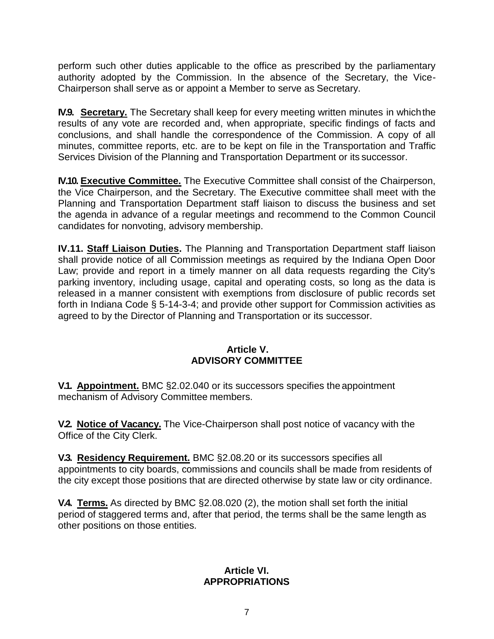perform such other duties applicable to the office as prescribed by the parliamentary authority adopted by the Commission. In the absence of the Secretary, the Vice-Chairperson shall serve as or appoint a Member to serve as Secretary.

**IV.9. Secretary.** The Secretary shall keep for every meeting written minutes in whichthe results of any vote are recorded and, when appropriate, specific findings of facts and conclusions, and shall handle the correspondence of the Commission. A copy of all minutes, committee reports, etc. are to be kept on file in the Transportation and Traffic Services Division of the Planning and Transportation Department or its successor.

**IV.10. Executive Committee.** The Executive Committee shall consist of the Chairperson, the Vice Chairperson, and the Secretary. The Executive committee shall meet with the Planning and Transportation Department staff liaison to discuss the business and set the agenda in advance of a regular meetings and recommend to the Common Council candidates for nonvoting, advisory membership.

**IV.11. Staff Liaison Duties.** The Planning and Transportation Department staff liaison shall provide notice of all Commission meetings as required by the Indiana Open Door Law; provide and report in a timely manner on all data requests regarding the City's parking inventory, including usage, capital and operating costs, so long as the data is released in a manner consistent with exemptions from disclosure of public records set forth in Indiana Code § 5-14-3-4; and provide other support for Commission activities as agreed to by the Director of Planning and Transportation or its successor.

#### **Article V. ADVISORY COMMITTEE**

**V.1. Appointment.** BMC §2.02.040 or its successors specifies the appointment mechanism of Advisory Committee members.

**V.2. Notice of Vacancy.** The Vice-Chairperson shall post notice of vacancy with the Office of the City Clerk.

**V.3. Residency Requirement.** BMC §2.08.20 or its successors specifies all appointments to city boards, commissions and councils shall be made from residents of the city except those positions that are directed otherwise by state law or city ordinance.

**V.4. Terms.** As directed by BMC §2.08.020 (2), the motion shall set forth the initial period of staggered terms and, after that period, the terms shall be the same length as other positions on those entities.

#### **Article VI. APPROPRIATIONS**